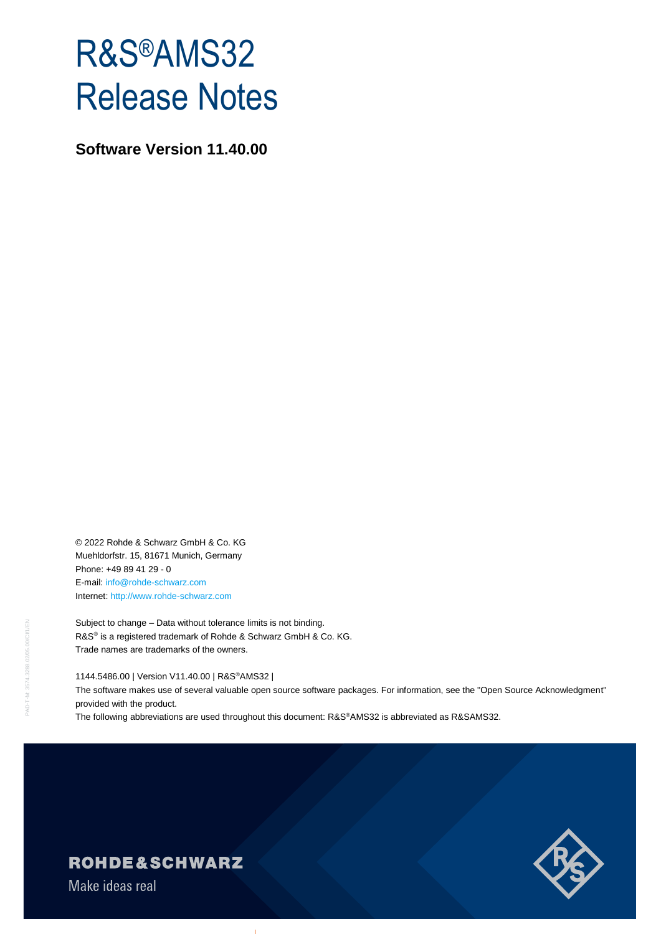# R&S®AMS32 Release Notes

**Software Version 11.40.00**

© 2022 Rohde & Schwarz GmbH & Co. KG Muehldorfstr. 15, 81671 Munich, Germany Phone: +49 89 41 29 - 0 E-mail: [info@rohde-schwarz.com](mailto:info@rohde-schwarz.com) Internet[: http://www.rohde-schwarz.com](http://www.rohde-schwarz.com/)

Subject to change – Data without tolerance limits is not binding. R&S<sup>®</sup> is a registered trademark of Rohde & Schwarz GmbH & Co. KG. Trade names are trademarks of the owners.

#### 1144.5486.00 | Version V11.40.00 | R&S®AMS32 |

The software makes use of several valuable open source software packages. For information, see the "Open Source Acknowledgment" provided with the product.

The following abbreviations are used throughout this document: R&S®AMS32 is abbreviated as R&SAMS32.



## **ROHDE&SCHWARZ**

Make ideas real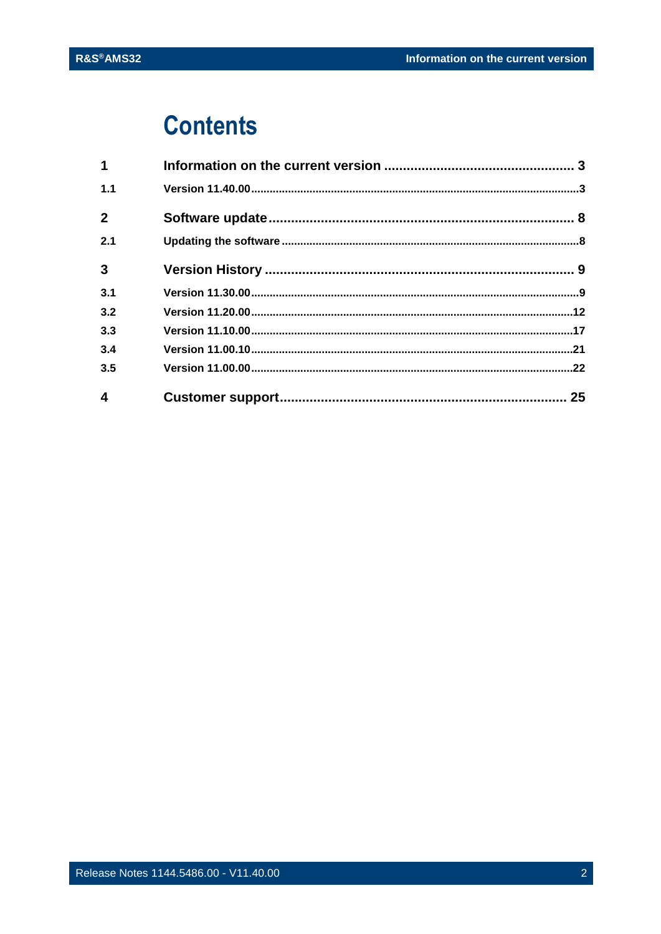## **Contents**

| $\mathbf 1$             |  |
|-------------------------|--|
| 1.1                     |  |
| $\overline{2}$          |  |
| 2.1                     |  |
| $\mathbf{3}$            |  |
| 3.1                     |  |
| 3.2                     |  |
| 3.3                     |  |
| 3.4                     |  |
| 3.5                     |  |
| $\overline{\mathbf{4}}$ |  |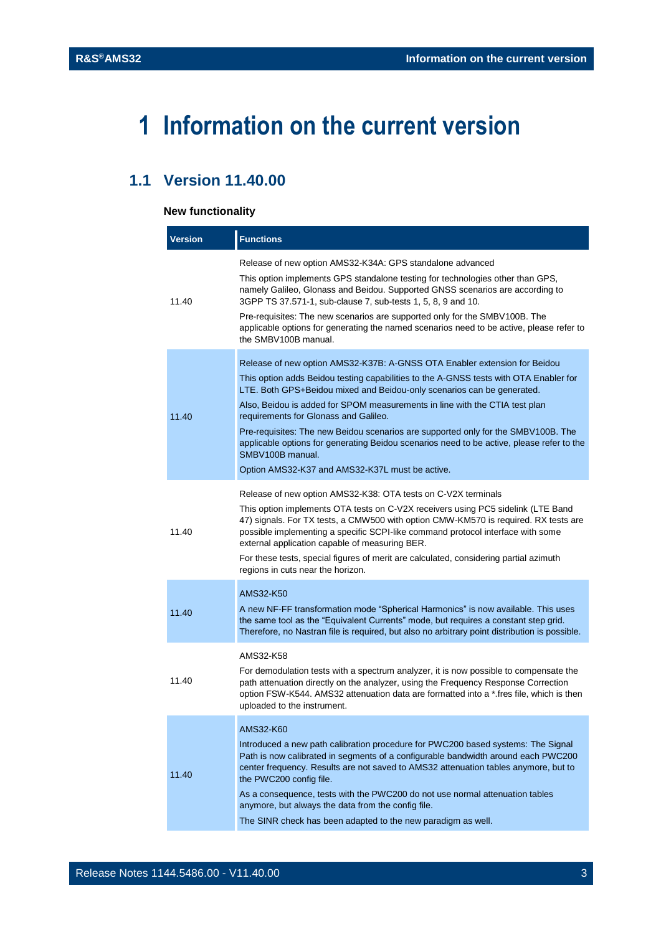## <span id="page-2-0"></span>**1 Information on the current version**

## <span id="page-2-1"></span>**1.1 Version 11.40.00**

#### **New functionality**

| <b>Version</b> | <b>Functions</b>                                                                                                                                                                                                                                                                                                                                                                                                                                                                                                                                                                                                              |
|----------------|-------------------------------------------------------------------------------------------------------------------------------------------------------------------------------------------------------------------------------------------------------------------------------------------------------------------------------------------------------------------------------------------------------------------------------------------------------------------------------------------------------------------------------------------------------------------------------------------------------------------------------|
| 11.40          | Release of new option AMS32-K34A: GPS standalone advanced<br>This option implements GPS standalone testing for technologies other than GPS,<br>namely Galileo, Glonass and Beidou. Supported GNSS scenarios are according to<br>3GPP TS 37.571-1, sub-clause 7, sub-tests 1, 5, 8, 9 and 10.<br>Pre-requisites: The new scenarios are supported only for the SMBV100B. The<br>applicable options for generating the named scenarios need to be active, please refer to<br>the SMBV100B manual.                                                                                                                                |
| 11.40          | Release of new option AMS32-K37B: A-GNSS OTA Enabler extension for Beidou<br>This option adds Beidou testing capabilities to the A-GNSS tests with OTA Enabler for<br>LTE. Both GPS+Beidou mixed and Beidou-only scenarios can be generated.<br>Also, Beidou is added for SPOM measurements in line with the CTIA test plan<br>requirements for Glonass and Galileo.<br>Pre-requisites: The new Beidou scenarios are supported only for the SMBV100B. The<br>applicable options for generating Beidou scenarios need to be active, please refer to the<br>SMBV100B manual.<br>Option AMS32-K37 and AMS32-K37L must be active. |
| 11.40          | Release of new option AMS32-K38: OTA tests on C-V2X terminals<br>This option implements OTA tests on C-V2X receivers using PC5 sidelink (LTE Band<br>47) signals. For TX tests, a CMW500 with option CMW-KM570 is required. RX tests are<br>possible implementing a specific SCPI-like command protocol interface with some<br>external application capable of measuring BER.<br>For these tests, special figures of merit are calculated, considering partial azimuth<br>regions in cuts near the horizon.                                                                                                                   |
| 11.40          | AMS32-K50<br>A new NF-FF transformation mode "Spherical Harmonics" is now available. This uses<br>the same tool as the "Equivalent Currents" mode, but requires a constant step grid.<br>Therefore, no Nastran file is required, but also no arbitrary point distribution is possible.                                                                                                                                                                                                                                                                                                                                        |
| 11.40          | AMS32-K58<br>For demodulation tests with a spectrum analyzer, it is now possible to compensate the<br>path attenuation directly on the analyzer, using the Frequency Response Correction<br>option FSW-K544. AMS32 attenuation data are formatted into a *.fres file, which is then<br>uploaded to the instrument.                                                                                                                                                                                                                                                                                                            |
| 11.40          | AMS32-K60<br>Introduced a new path calibration procedure for PWC200 based systems: The Signal<br>Path is now calibrated in segments of a configurable bandwidth around each PWC200<br>center frequency. Results are not saved to AMS32 attenuation tables anymore, but to<br>the PWC200 config file.<br>As a consequence, tests with the PWC200 do not use normal attenuation tables<br>anymore, but always the data from the config file.<br>The SINR check has been adapted to the new paradigm as well.                                                                                                                    |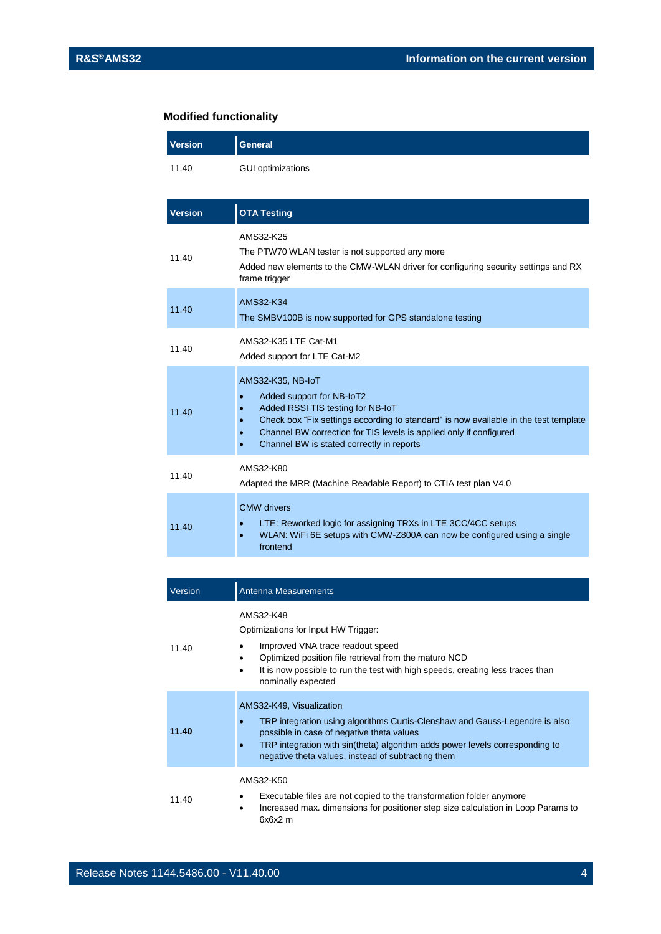### **Modified functionality**

 $\overline{a}$ 

| <b>Version</b> | <b>General</b>                                                                                                                                                                                                                                                                                              |
|----------------|-------------------------------------------------------------------------------------------------------------------------------------------------------------------------------------------------------------------------------------------------------------------------------------------------------------|
| 11.40          | <b>GUI optimizations</b>                                                                                                                                                                                                                                                                                    |
| <b>Version</b> | <b>OTA Testing</b>                                                                                                                                                                                                                                                                                          |
| 11.40          | AMS32-K25<br>The PTW70 WLAN tester is not supported any more<br>Added new elements to the CMW-WLAN driver for configuring security settings and RX<br>frame trigger                                                                                                                                         |
| 11.40          | AMS32-K34<br>The SMBV100B is now supported for GPS standalone testing                                                                                                                                                                                                                                       |
| 11.40          | AMS32-K35 LTE Cat-M1<br>Added support for LTE Cat-M2                                                                                                                                                                                                                                                        |
| 11.40          | AMS32-K35, NB-IoT<br>Added support for NB-IoT2<br>$\bullet$<br>Added RSSI TIS testing for NB-IoT<br>Check box "Fix settings according to standard" is now available in the test template<br>Channel BW correction for TIS levels is applied only if configured<br>Channel BW is stated correctly in reports |
| 11.40          | AMS32-K80<br>Adapted the MRR (Machine Readable Report) to CTIA test plan V4.0                                                                                                                                                                                                                               |
| 11.40          | <b>CMW</b> drivers<br>LTE: Reworked logic for assigning TRXs in LTE 3CC/4CC setups<br>WLAN: WiFi 6E setups with CMW-Z800A can now be configured using a single<br>frontend                                                                                                                                  |
|                |                                                                                                                                                                                                                                                                                                             |

| Version | Antenna Measurements                                                                                                                                                                                                                                                                       |
|---------|--------------------------------------------------------------------------------------------------------------------------------------------------------------------------------------------------------------------------------------------------------------------------------------------|
| 11.40   | AMS32-K48<br>Optimizations for Input HW Trigger:<br>Improved VNA trace readout speed<br>Optimized position file retrieval from the maturo NCD<br>It is now possible to run the test with high speeds, creating less traces than<br>٠<br>nominally expected                                 |
| 11.40   | AMS32-K49, Visualization<br>TRP integration using algorithms Curtis-Clenshaw and Gauss-Legendre is also<br>possible in case of negative theta values<br>TRP integration with sin(theta) algorithm adds power levels corresponding to<br>negative theta values, instead of subtracting them |
| 11.40   | AMS32-K50<br>Executable files are not copied to the transformation folder anymore<br>Increased max. dimensions for positioner step size calculation in Loop Params to<br>٠<br>$6x6x2$ m                                                                                                    |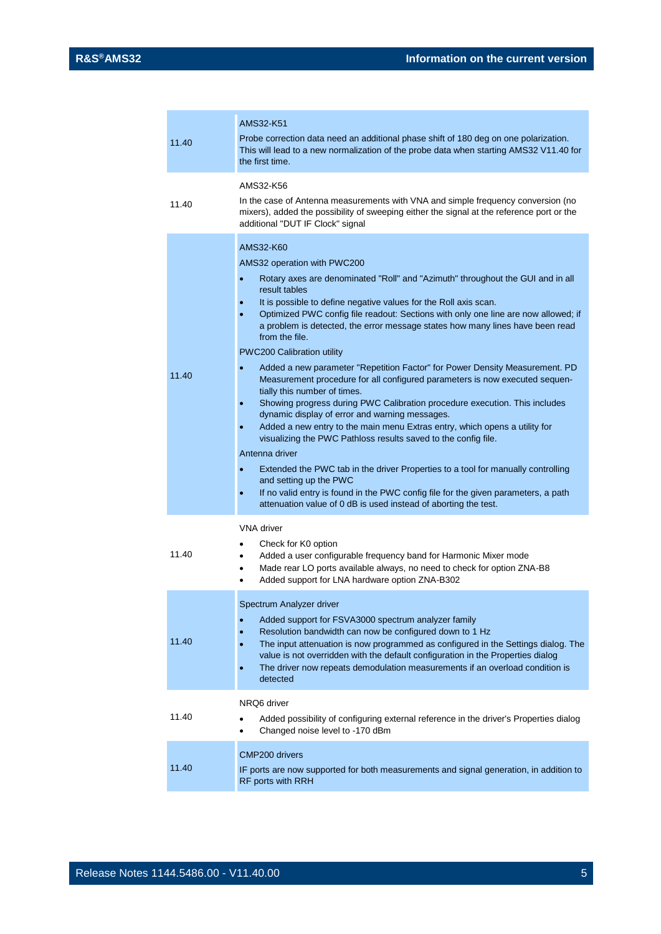| 11.40 | AMS32-K51<br>Probe correction data need an additional phase shift of 180 deg on one polarization.<br>This will lead to a new normalization of the probe data when starting AMS32 V11.40 for<br>the first time.                                                                                                                                                                                                                                                                                                                                                                                                                                                                                                                                                                                                                                                                                                                                                                                                                                                                                                                                                                                                                                            |
|-------|-----------------------------------------------------------------------------------------------------------------------------------------------------------------------------------------------------------------------------------------------------------------------------------------------------------------------------------------------------------------------------------------------------------------------------------------------------------------------------------------------------------------------------------------------------------------------------------------------------------------------------------------------------------------------------------------------------------------------------------------------------------------------------------------------------------------------------------------------------------------------------------------------------------------------------------------------------------------------------------------------------------------------------------------------------------------------------------------------------------------------------------------------------------------------------------------------------------------------------------------------------------|
| 11.40 | AMS32-K56<br>In the case of Antenna measurements with VNA and simple frequency conversion (no<br>mixers), added the possibility of sweeping either the signal at the reference port or the<br>additional "DUT IF Clock" signal                                                                                                                                                                                                                                                                                                                                                                                                                                                                                                                                                                                                                                                                                                                                                                                                                                                                                                                                                                                                                            |
| 11.40 | AMS32-K60<br>AMS32 operation with PWC200<br>Rotary axes are denominated "Roll" and "Azimuth" throughout the GUI and in all<br>result tables<br>It is possible to define negative values for the Roll axis scan.<br>Optimized PWC config file readout: Sections with only one line are now allowed; if<br>$\bullet$<br>a problem is detected, the error message states how many lines have been read<br>from the file.<br>PWC200 Calibration utility<br>Added a new parameter "Repetition Factor" for Power Density Measurement. PD<br>$\bullet$<br>Measurement procedure for all configured parameters is now executed sequen-<br>tially this number of times.<br>Showing progress during PWC Calibration procedure execution. This includes<br>$\bullet$<br>dynamic display of error and warning messages.<br>Added a new entry to the main menu Extras entry, which opens a utility for<br>visualizing the PWC Pathloss results saved to the config file.<br>Antenna driver<br>Extended the PWC tab in the driver Properties to a tool for manually controlling<br>and setting up the PWC<br>If no valid entry is found in the PWC config file for the given parameters, a path<br>٠<br>attenuation value of 0 dB is used instead of aborting the test. |
| 11.40 | VNA driver<br>Check for K0 option<br>٠<br>Added a user configurable frequency band for Harmonic Mixer mode<br>٠<br>Made rear LO ports available always, no need to check for option ZNA-B8<br>٠<br>Added support for LNA hardware option ZNA-B302<br>٠                                                                                                                                                                                                                                                                                                                                                                                                                                                                                                                                                                                                                                                                                                                                                                                                                                                                                                                                                                                                    |
| 11.40 | Spectrum Analyzer driver<br>Added support for FSVA3000 spectrum analyzer family<br>٠<br>Resolution bandwidth can now be configured down to 1 Hz<br>$\bullet$<br>The input attenuation is now programmed as configured in the Settings dialog. The<br>value is not overridden with the default configuration in the Properties dialog<br>The driver now repeats demodulation measurements if an overload condition is<br>detected                                                                                                                                                                                                                                                                                                                                                                                                                                                                                                                                                                                                                                                                                                                                                                                                                          |
| 11.40 | NRQ6 driver<br>Added possibility of configuring external reference in the driver's Properties dialog<br>Changed noise level to -170 dBm                                                                                                                                                                                                                                                                                                                                                                                                                                                                                                                                                                                                                                                                                                                                                                                                                                                                                                                                                                                                                                                                                                                   |
| 11.40 | <b>CMP200 drivers</b><br>IF ports are now supported for both measurements and signal generation, in addition to<br>RF ports with RRH                                                                                                                                                                                                                                                                                                                                                                                                                                                                                                                                                                                                                                                                                                                                                                                                                                                                                                                                                                                                                                                                                                                      |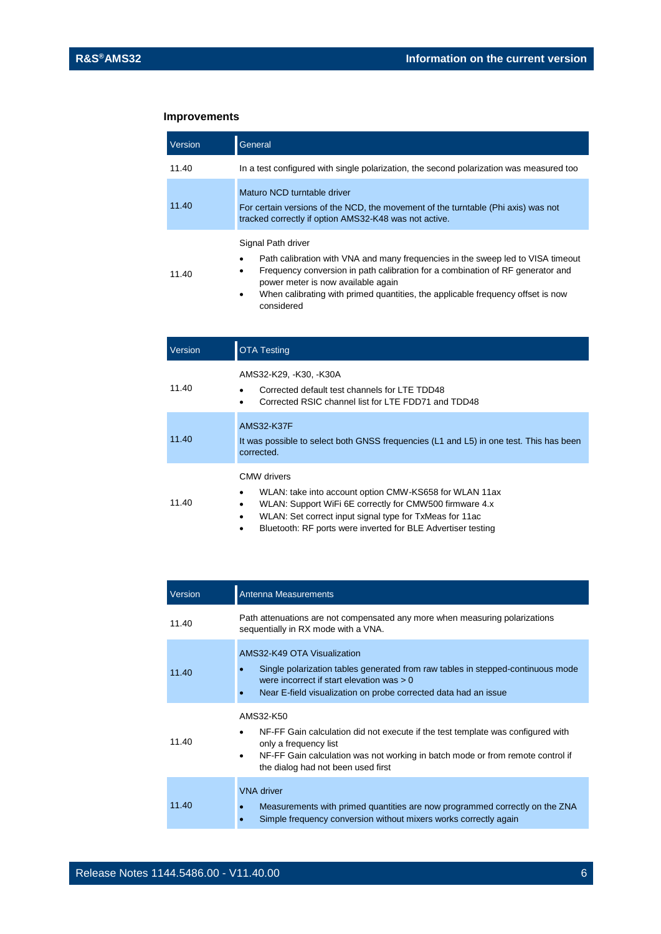### **Improvements**

| Version | General                                                                                                                                                                                                                                                                                                                                  |
|---------|------------------------------------------------------------------------------------------------------------------------------------------------------------------------------------------------------------------------------------------------------------------------------------------------------------------------------------------|
| 11.40   | In a test configured with single polarization, the second polarization was measured too                                                                                                                                                                                                                                                  |
| 11.40   | Maturo NCD turntable driver<br>For certain versions of the NCD, the movement of the turntable (Phi axis) was not<br>tracked correctly if option AMS32-K48 was not active.                                                                                                                                                                |
| 11.40   | Signal Path driver<br>Path calibration with VNA and many frequencies in the sweep led to VISA timeout<br>Frequency conversion in path calibration for a combination of RF generator and<br>٠<br>power meter is now available again<br>When calibrating with primed quantities, the applicable frequency offset is now<br>٠<br>considered |
| Version | TA Testing                                                                                                                                                                                                                                                                                                                               |

| 11.40 | AMS32-K29, -K30, -K30A<br>Corrected default test channels for LTE TDD48<br>Corrected RSIC channel list for LTE FDD71 and TDD48                                                                                                                                                             |
|-------|--------------------------------------------------------------------------------------------------------------------------------------------------------------------------------------------------------------------------------------------------------------------------------------------|
| 11.40 | <b>AMS32-K37F</b><br>It was possible to select both GNSS frequencies (L1 and L5) in one test. This has been<br>corrected.                                                                                                                                                                  |
| 11.40 | CMW drivers<br>WLAN: take into account option CMW-KS658 for WLAN 11ax<br>$\bullet$<br>WLAN: Support WiFi 6E correctly for CMW500 firmware 4.x<br>٠<br>WLAN: Set correct input signal type for TxMeas for 11ac<br>$\bullet$<br>Bluetooth: RF ports were inverted for BLE Advertiser testing |

| Version | Antenna Measurements                                                                                                                                                                                                                                            |
|---------|-----------------------------------------------------------------------------------------------------------------------------------------------------------------------------------------------------------------------------------------------------------------|
| 11.40   | Path attenuations are not compensated any more when measuring polarizations<br>sequentially in RX mode with a VNA.                                                                                                                                              |
| 11.40   | AMS32-K49 OTA Visualization<br>Single polarization tables generated from raw tables in stepped-continuous mode<br>were incorrect if start elevation was $> 0$<br>Near E-field visualization on probe corrected data had an issue                                |
| 11.40   | AMS32-K50<br>NF-FF Gain calculation did not execute if the test template was configured with<br>٠<br>only a frequency list<br>NF-FF Gain calculation was not working in batch mode or from remote control if<br>$\bullet$<br>the dialog had not been used first |
| 11.40   | <b>VNA</b> driver<br>Measurements with primed quantities are now programmed correctly on the ZNA<br>Simple frequency conversion without mixers works correctly again                                                                                            |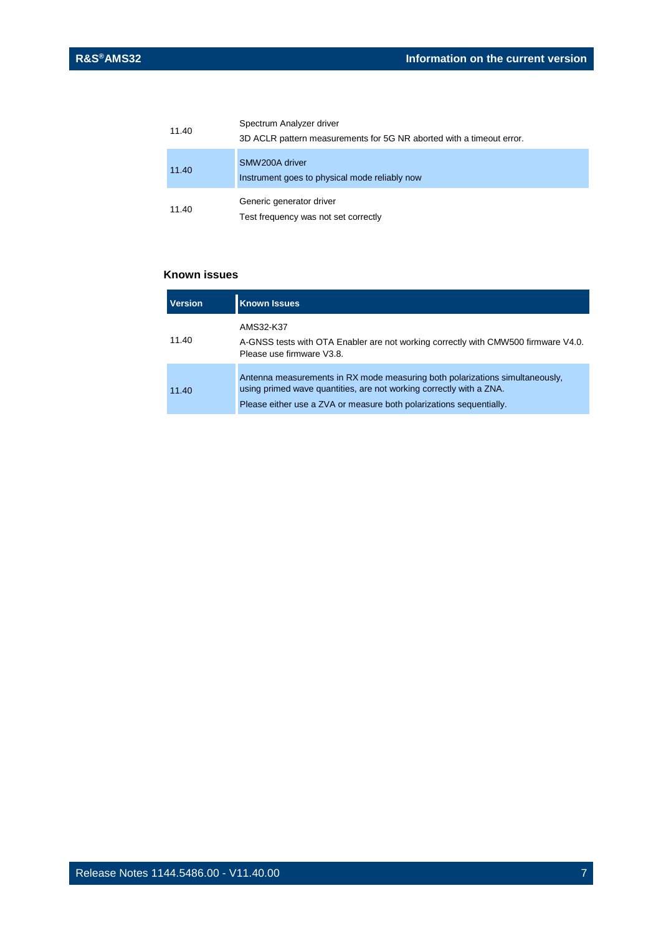| 11.40 | Spectrum Analyzer driver<br>3D ACLR pattern measurements for 5G NR aborted with a timeout error. |
|-------|--------------------------------------------------------------------------------------------------|
| 11.40 | SMW200A driver<br>Instrument goes to physical mode reliably now                                  |
| 11.40 | Generic generator driver<br>Test frequency was not set correctly                                 |

#### **Known issues**

| <b>Version</b> | <b>Known Issues</b>                                                                                                                                                                                                        |
|----------------|----------------------------------------------------------------------------------------------------------------------------------------------------------------------------------------------------------------------------|
| 11.40          | AMS32-K37<br>A-GNSS tests with OTA Enabler are not working correctly with CMW500 firmware V4.0.<br>Please use firmware V3.8.                                                                                               |
| 11.40          | Antenna measurements in RX mode measuring both polarizations simultaneously,<br>using primed wave quantities, are not working correctly with a ZNA.<br>Please either use a ZVA or measure both polarizations sequentially. |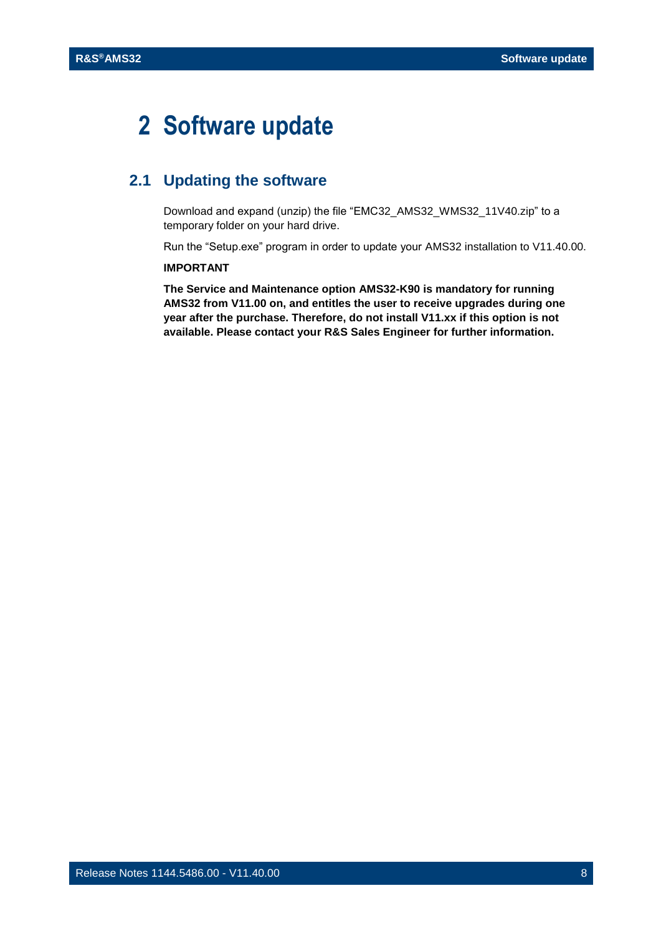## <span id="page-7-0"></span>**2 Software update**

## <span id="page-7-1"></span>**2.1 Updating the software**

Download and expand (unzip) the file "EMC32\_AMS32\_WMS32\_11V40.zip" to a temporary folder on your hard drive.

Run the "Setup.exe" program in order to update your AMS32 installation to V11.40.00.

#### **IMPORTANT**

**The Service and Maintenance option AMS32-K90 is mandatory for running AMS32 from V11.00 on, and entitles the user to receive upgrades during one year after the purchase. Therefore, do not install V11.xx if this option is not available. Please contact your R&S Sales Engineer for further information.**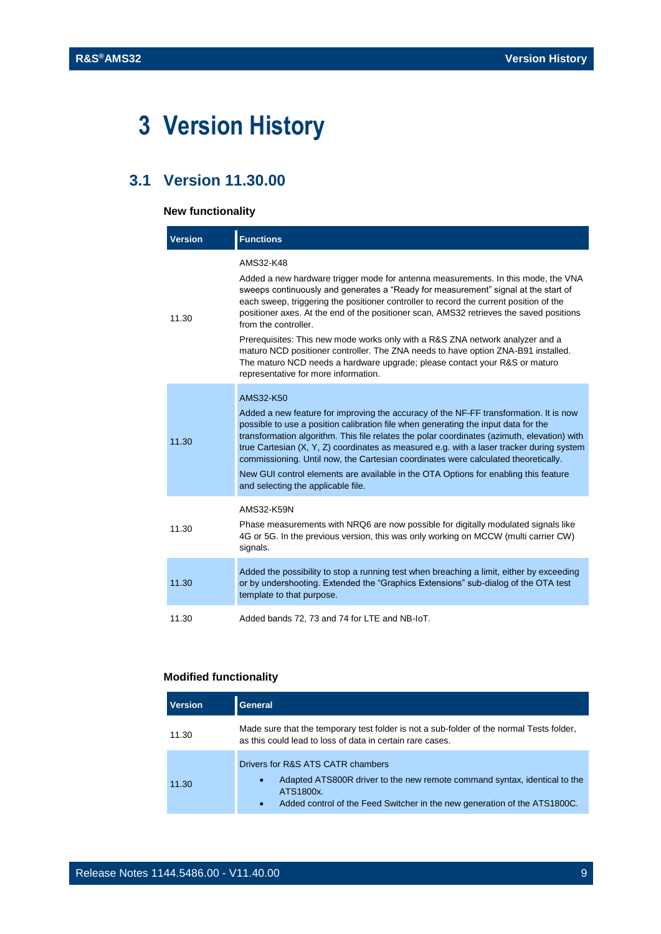## <span id="page-8-0"></span>**3 Version History**

## <span id="page-8-1"></span>**3.1 Version 11.30.00**

#### **New functionality**

| <b>Version</b> | <b>Functions</b>                                                                                                                                                                                                                                                                                                                                                                                                                                                                                                                                                                                                                                                                              |
|----------------|-----------------------------------------------------------------------------------------------------------------------------------------------------------------------------------------------------------------------------------------------------------------------------------------------------------------------------------------------------------------------------------------------------------------------------------------------------------------------------------------------------------------------------------------------------------------------------------------------------------------------------------------------------------------------------------------------|
| 11.30          | AMS32-K48<br>Added a new hardware trigger mode for antenna measurements. In this mode, the VNA<br>sweeps continuously and generates a "Ready for measurement" signal at the start of<br>each sweep, triggering the positioner controller to record the current position of the<br>positioner axes. At the end of the positioner scan, AMS32 retrieves the saved positions<br>from the controller.<br>Prerequisites: This new mode works only with a R&S ZNA network analyzer and a<br>maturo NCD positioner controller. The ZNA needs to have option ZNA-B91 installed.<br>The maturo NCD needs a hardware upgrade; please contact your R&S or maturo<br>representative for more information. |
| 11.30          | AMS32-K50<br>Added a new feature for improving the accuracy of the NF-FF transformation. It is now<br>possible to use a position calibration file when generating the input data for the<br>transformation algorithm. This file relates the polar coordinates (azimuth, elevation) with<br>true Cartesian (X, Y, Z) coordinates as measured e.g. with a laser tracker during system<br>commissioning. Until now, the Cartesian coordinates were calculated theoretically.<br>New GUI control elements are available in the OTA Options for enabling this feature<br>and selecting the applicable file.                                                                                        |
| 11.30          | AMS32-K59N<br>Phase measurements with NRQ6 are now possible for digitally modulated signals like<br>4G or 5G. In the previous version, this was only working on MCCW (multi carrier CW)<br>signals.                                                                                                                                                                                                                                                                                                                                                                                                                                                                                           |
| 11.30          | Added the possibility to stop a running test when breaching a limit, either by exceeding<br>or by undershooting. Extended the "Graphics Extensions" sub-dialog of the OTA test<br>template to that purpose.                                                                                                                                                                                                                                                                                                                                                                                                                                                                                   |
| 11.30          | Added bands 72, 73 and 74 for LTE and NB-IoT.                                                                                                                                                                                                                                                                                                                                                                                                                                                                                                                                                                                                                                                 |

### **Modified functionality**

and the control of the control of the control of the control of the control of the control of the control of the control of the control of the control of the control of the control of the control of the control of the cont

| <b>Version</b> | General                                                                                                                                                                                                                            |
|----------------|------------------------------------------------------------------------------------------------------------------------------------------------------------------------------------------------------------------------------------|
| 11.30          | Made sure that the temporary test folder is not a sub-folder of the normal Tests folder,<br>as this could lead to loss of data in certain rare cases.                                                                              |
| 11.30          | Drivers for R&S ATS CATR chambers<br>Adapted ATS800R driver to the new remote command syntax, identical to the<br>$\bullet$<br>ATS1800x.<br>Added control of the Feed Switcher in the new generation of the ATS1800C.<br>$\bullet$ |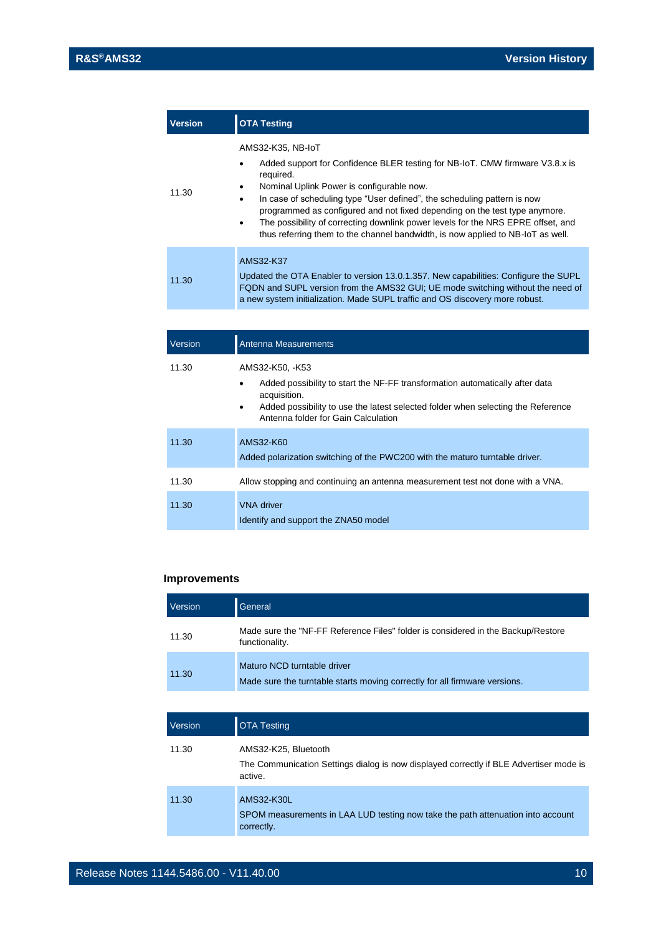| <b>Version</b> | <b>OTA Testing</b>                                                                                                                                                                                                                                                                                                                                                                                                                                                                                                                       |
|----------------|------------------------------------------------------------------------------------------------------------------------------------------------------------------------------------------------------------------------------------------------------------------------------------------------------------------------------------------------------------------------------------------------------------------------------------------------------------------------------------------------------------------------------------------|
| 11.30          | AMS32-K35, NB-IoT<br>Added support for Confidence BLER testing for NB-IoT. CMW firmware V3.8.x is<br>٠<br>required.<br>Nominal Uplink Power is configurable now.<br>$\bullet$<br>In case of scheduling type "User defined", the scheduling pattern is now<br>$\bullet$<br>programmed as configured and not fixed depending on the test type anymore.<br>The possibility of correcting downlink power levels for the NRS EPRE offset, and<br>$\bullet$<br>thus referring them to the channel bandwidth, is now applied to NB-IoT as well. |
| 11.30          | AMS32-K37<br>Updated the OTA Enabler to version 13.0.1.357. New capabilities: Configure the SUPL<br>FQDN and SUPL version from the AMS32 GUI; UE mode switching without the need of<br>a new system initialization. Made SUPL traffic and OS discovery more robust.                                                                                                                                                                                                                                                                      |
|                |                                                                                                                                                                                                                                                                                                                                                                                                                                                                                                                                          |

| Version | Antenna Measurements                                                                                                                                                                                                                                                 |
|---------|----------------------------------------------------------------------------------------------------------------------------------------------------------------------------------------------------------------------------------------------------------------------|
| 11.30   | AMS32-K50, -K53<br>Added possibility to start the NF-FF transformation automatically after data<br>$\bullet$<br>acquisition.<br>Added possibility to use the latest selected folder when selecting the Reference<br>$\bullet$<br>Antenna folder for Gain Calculation |
| 11.30   | AMS32-K60<br>Added polarization switching of the PWC200 with the maturo turntable driver.                                                                                                                                                                            |
| 11.30   | Allow stopping and continuing an antenna measurement test not done with a VNA.                                                                                                                                                                                       |
| 11.30   | <b>VNA</b> driver<br>Identify and support the ZNA50 model                                                                                                                                                                                                            |

#### **Improvements**

| Version | General                                                                                                   |
|---------|-----------------------------------------------------------------------------------------------------------|
| 11.30   | Made sure the "NF-FF Reference Files" folder is considered in the Backup/Restore<br>functionality.        |
| 11.30   | Maturo NCD turntable driver<br>Made sure the turntable starts moving correctly for all firmware versions. |

| Version | <b>OTA Testing</b>                                                                                                        |
|---------|---------------------------------------------------------------------------------------------------------------------------|
| 11.30   | AMS32-K25, Bluetooth<br>The Communication Settings dialog is now displayed correctly if BLE Advertiser mode is<br>active. |
| 11.30   | AMS32-K30L<br>SPOM measurements in LAA LUD testing now take the path attenuation into account<br>correctly.               |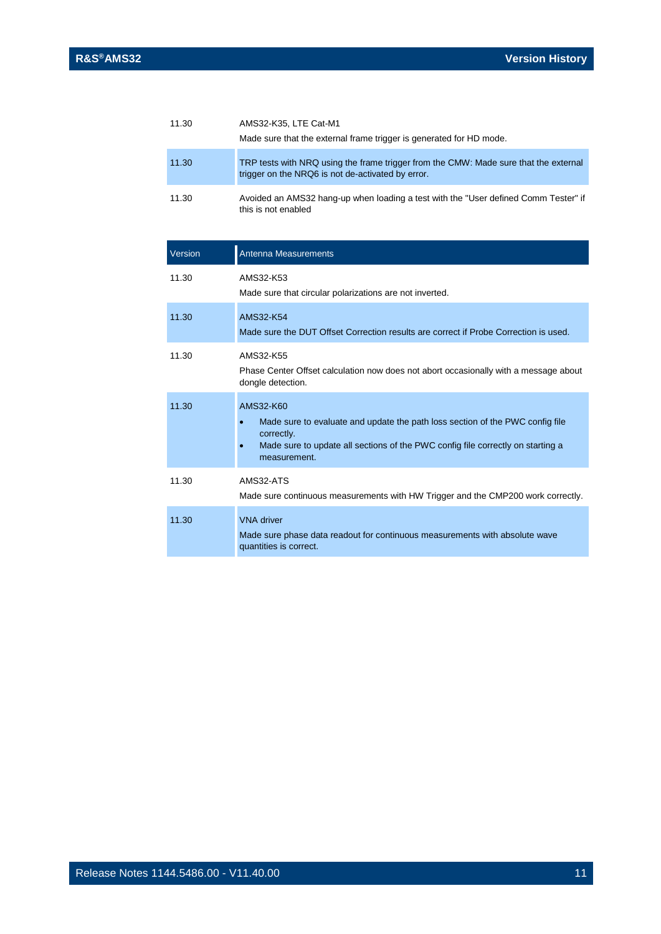| 11.30   | AMS32-K35, LTE Cat-M1<br>Made sure that the external frame trigger is generated for HD mode.                                                                                                                |
|---------|-------------------------------------------------------------------------------------------------------------------------------------------------------------------------------------------------------------|
| 11.30   | TRP tests with NRQ using the frame trigger from the CMW: Made sure that the external<br>trigger on the NRQ6 is not de-activated by error.                                                                   |
| 11.30   | Avoided an AMS32 hang-up when loading a test with the "User defined Comm Tester" if<br>this is not enabled                                                                                                  |
| Version | Antenna Measurements                                                                                                                                                                                        |
| 11.30   | AMS32-K53<br>Made sure that circular polarizations are not inverted.                                                                                                                                        |
| 11.30   | AMS32-K54<br>Made sure the DUT Offset Correction results are correct if Probe Correction is used.                                                                                                           |
| 11.30   | AMS32-K55<br>Phase Center Offset calculation now does not abort occasionally with a message about<br>dongle detection.                                                                                      |
| 11.30   | AMS32-K60<br>Made sure to evaluate and update the path loss section of the PWC config file<br>correctly.<br>Made sure to update all sections of the PWC config file correctly on starting a<br>measurement. |
| 11.30   | AMS32-ATS<br>Made sure continuous measurements with HW Trigger and the CMP200 work correctly.                                                                                                               |
| 11.30   | <b>VNA</b> driver<br>Made sure phase data readout for continuous measurements with absolute wave<br>quantities is correct.                                                                                  |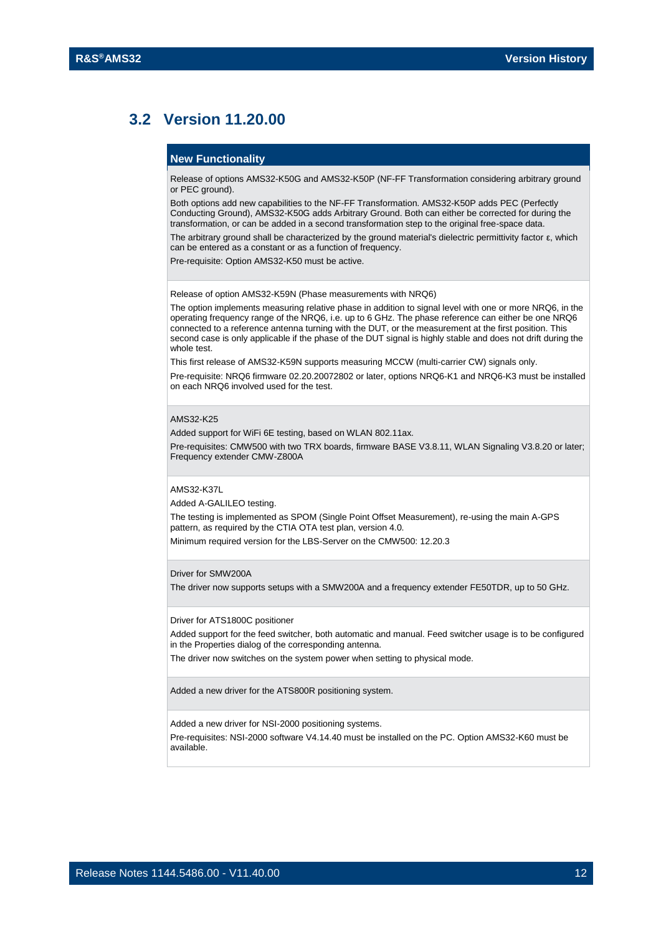## <span id="page-11-0"></span>**3.2 Version 11.20.00**

#### **New Functionality**

Release of options AMS32-K50G and AMS32-K50P (NF-FF Transformation considering arbitrary ground or PEC ground).

Both options add new capabilities to the NF-FF Transformation. AMS32-K50P adds PEC (Perfectly Conducting Ground), AMS32-K50G adds Arbitrary Ground. Both can either be corrected for during the transformation, or can be added in a second transformation step to the original free-space data. The arbitrary ground shall be characterized by the ground material's dielectric permittivity factor ε, which

can be entered as a constant or as a function of frequency.

Pre-requisite: Option AMS32-K50 must be active.

Release of option AMS32-K59N (Phase measurements with NRQ6)

The option implements measuring relative phase in addition to signal level with one or more NRQ6, in the operating frequency range of the NRQ6, i.e. up to 6 GHz. The phase reference can either be one NRQ6 connected to a reference antenna turning with the DUT, or the measurement at the first position. This second case is only applicable if the phase of the DUT signal is highly stable and does not drift during the whole test.

This first release of AMS32-K59N supports measuring MCCW (multi-carrier CW) signals only.

Pre-requisite: NRQ6 firmware 02.20.20072802 or later, options NRQ6-K1 and NRQ6-K3 must be installed on each NRQ6 involved used for the test.

#### AMS32-K25

Added support for WiFi 6E testing, based on WLAN 802.11ax.

Pre-requisites: CMW500 with two TRX boards, firmware BASE V3.8.11, WLAN Signaling V3.8.20 or later; Frequency extender CMW-Z800A

#### AMS32-K37L

Added A-GALILEO testing.

The testing is implemented as SPOM (Single Point Offset Measurement), re-using the main A-GPS pattern, as required by the CTIA OTA test plan, version 4.0.

Minimum required version for the LBS-Server on the CMW500: 12.20.3

#### Driver for SMW200A

The driver now supports setups with a SMW200A and a frequency extender FE50TDR, up to 50 GHz.

#### Driver for ATS1800C positioner

Added support for the feed switcher, both automatic and manual. Feed switcher usage is to be configured in the Properties dialog of the corresponding antenna.

The driver now switches on the system power when setting to physical mode.

Added a new driver for the ATS800R positioning system.

Added a new driver for NSI-2000 positioning systems.

Pre-requisites: NSI-2000 software V4.14.40 must be installed on the PC. Option AMS32-K60 must be available.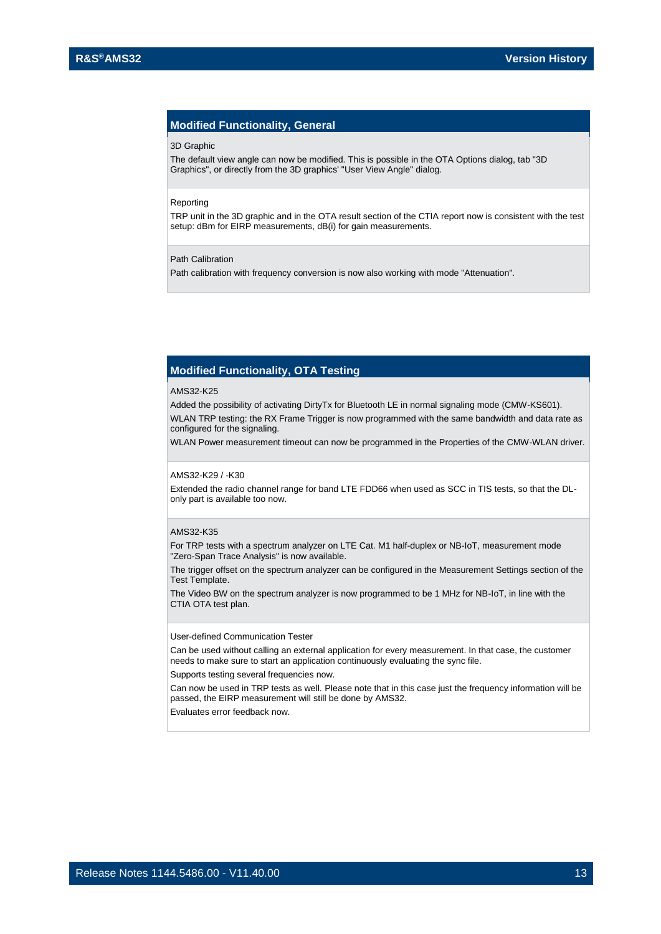#### **Modified Functionality, General**

#### 3D Graphic

The default view angle can now be modified. This is possible in the OTA Options dialog, tab "3D Graphics", or directly from the 3D graphics' "User View Angle" dialog.

#### Reporting

TRP unit in the 3D graphic and in the OTA result section of the CTIA report now is consistent with the test setup: dBm for EIRP measurements, dB(i) for gain measurements.

#### Path Calibration

Path calibration with frequency conversion is now also working with mode "Attenuation".

#### **Modified Functionality, OTA Testing**

#### AMS32-K25

Added the possibility of activating DirtyTx for Bluetooth LE in normal signaling mode (CMW-KS601).

WLAN TRP testing: the RX Frame Trigger is now programmed with the same bandwidth and data rate as configured for the signaling.

WLAN Power measurement timeout can now be programmed in the Properties of the CMW-WLAN driver.

#### AMS32-K29 / -K30

Extended the radio channel range for band LTE FDD66 when used as SCC in TIS tests, so that the DLonly part is available too now.

#### AMS32-K35

For TRP tests with a spectrum analyzer on LTE Cat. M1 half-duplex or NB-IoT, measurement mode "Zero-Span Trace Analysis" is now available.

The trigger offset on the spectrum analyzer can be configured in the Measurement Settings section of the Test Template.

The Video BW on the spectrum analyzer is now programmed to be 1 MHz for NB-IoT, in line with the CTIA OTA test plan.

#### User-defined Communication Tester

Can be used without calling an external application for every measurement. In that case, the customer needs to make sure to start an application continuously evaluating the sync file.

Supports testing several frequencies now.

Can now be used in TRP tests as well. Please note that in this case just the frequency information will be passed, the EIRP measurement will still be done by AMS32.

Evaluates error feedback now.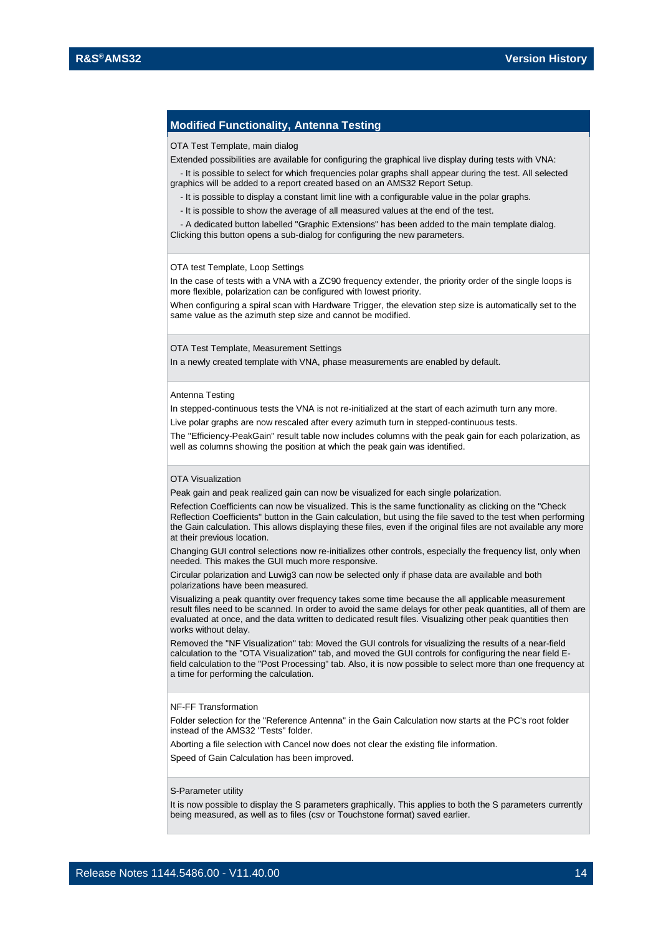#### **Modified Functionality, Antenna Testing**

#### OTA Test Template, main dialog

Extended possibilities are available for configuring the graphical live display during tests with VNA:

 - It is possible to select for which frequencies polar graphs shall appear during the test. All selected graphics will be added to a report created based on an AMS32 Report Setup.

- It is possible to display a constant limit line with a configurable value in the polar graphs.

- It is possible to show the average of all measured values at the end of the test.

 - A dedicated button labelled "Graphic Extensions" has been added to the main template dialog. Clicking this button opens a sub-dialog for configuring the new parameters.

#### OTA test Template, Loop Settings

In the case of tests with a VNA with a ZC90 frequency extender, the priority order of the single loops is more flexible, polarization can be configured with lowest priority.

When configuring a spiral scan with Hardware Trigger, the elevation step size is automatically set to the same value as the azimuth step size and cannot be modified.

OTA Test Template, Measurement Settings

In a newly created template with VNA, phase measurements are enabled by default.

#### Antenna Testing

In stepped-continuous tests the VNA is not re-initialized at the start of each azimuth turn any more.

Live polar graphs are now rescaled after every azimuth turn in stepped-continuous tests.

The "Efficiency-PeakGain" result table now includes columns with the peak gain for each polarization, as well as columns showing the position at which the peak gain was identified.

#### OTA Visualization

Peak gain and peak realized gain can now be visualized for each single polarization.

Refection Coefficients can now be visualized. This is the same functionality as clicking on the "Check Reflection Coefficients" button in the Gain calculation, but using the file saved to the test when performing the Gain calculation. This allows displaying these files, even if the original files are not available any more at their previous location.

Changing GUI control selections now re-initializes other controls, especially the frequency list, only when needed. This makes the GUI much more responsive.

Circular polarization and Luwig3 can now be selected only if phase data are available and both polarizations have been measured.

Visualizing a peak quantity over frequency takes some time because the all applicable measurement result files need to be scanned. In order to avoid the same delays for other peak quantities, all of them are evaluated at once, and the data written to dedicated result files. Visualizing other peak quantities then works without delay.

Removed the "NF Visualization" tab: Moved the GUI controls for visualizing the results of a near-field calculation to the "OTA Visualization" tab, and moved the GUI controls for configuring the near field Efield calculation to the "Post Processing" tab. Also, it is now possible to select more than one frequency at a time for performing the calculation.

#### NF-FF Transformation

Folder selection for the "Reference Antenna" in the Gain Calculation now starts at the PC's root folder instead of the AMS32 "Tests" folder.

Aborting a file selection with Cancel now does not clear the existing file information.

Speed of Gain Calculation has been improved.

#### S-Parameter utility

It is now possible to display the S parameters graphically. This applies to both the S parameters currently being measured, as well as to files (csv or Touchstone format) saved earlier.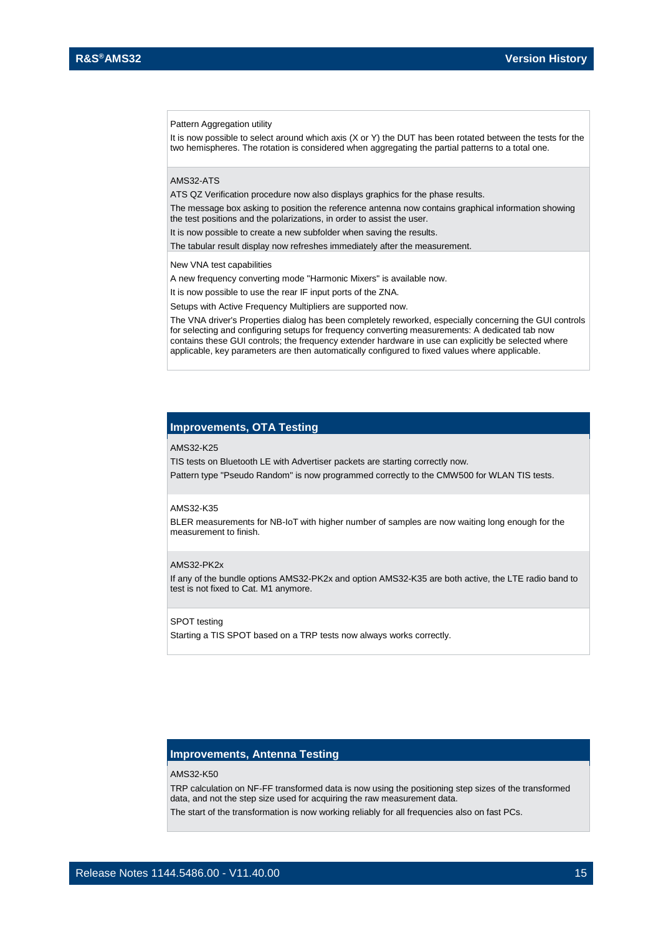#### Pattern Aggregation utility

It is now possible to select around which axis (X or Y) the DUT has been rotated between the tests for the two hemispheres. The rotation is considered when aggregating the partial patterns to a total one.

#### AMS32-ATS

ATS QZ Verification procedure now also displays graphics for the phase results.

The message box asking to position the reference antenna now contains graphical information showing the test positions and the polarizations, in order to assist the user.

It is now possible to create a new subfolder when saving the results.

The tabular result display now refreshes immediately after the measurement.

New VNA test capabilities

A new frequency converting mode "Harmonic Mixers" is available now.

It is now possible to use the rear IF input ports of the ZNA.

Setups with Active Frequency Multipliers are supported now.

The VNA driver's Properties dialog has been completely reworked, especially concerning the GUI controls for selecting and configuring setups for frequency converting measurements: A dedicated tab now contains these GUI controls; the frequency extender hardware in use can explicitly be selected where applicable, key parameters are then automatically configured to fixed values where applicable.

#### **Improvements, OTA Testing**

#### AMS32-K25

TIS tests on Bluetooth LE with Advertiser packets are starting correctly now.

Pattern type "Pseudo Random" is now programmed correctly to the CMW500 for WLAN TIS tests.

#### AMS32-K35

BLER measurements for NB-IoT with higher number of samples are now waiting long enough for the measurement to finish.

#### AMS32-PK2x

If any of the bundle options AMS32-PK2x and option AMS32-K35 are both active, the LTE radio band to test is not fixed to Cat. M1 anymore.

#### SPOT testing

Starting a TIS SPOT based on a TRP tests now always works correctly.

#### **Improvements, Antenna Testing**

#### AMS32-K50

TRP calculation on NF-FF transformed data is now using the positioning step sizes of the transformed data, and not the step size used for acquiring the raw measurement data.

The start of the transformation is now working reliably for all frequencies also on fast PCs.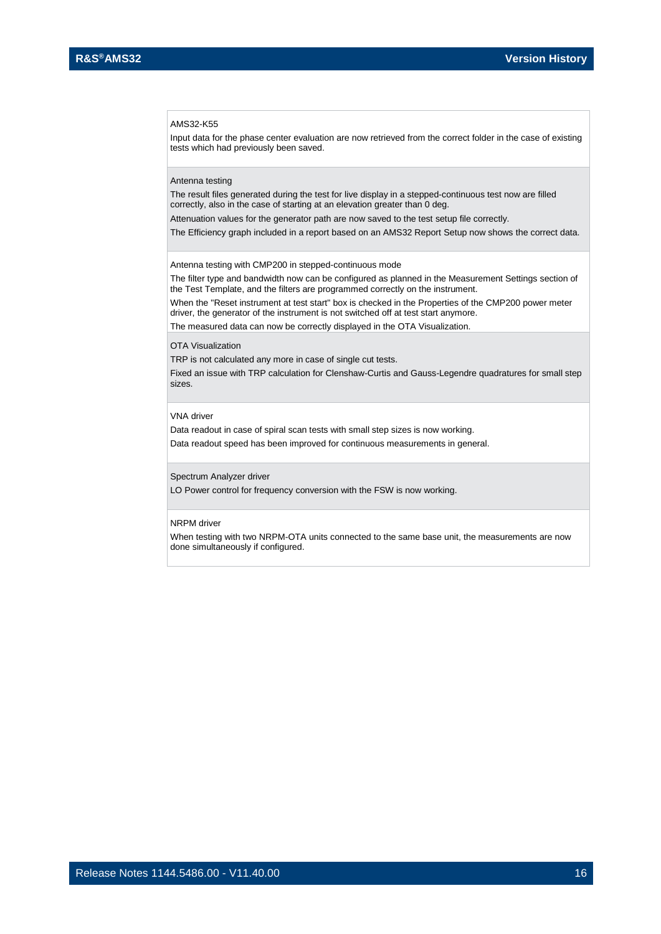#### AMS32-K55

Input data for the phase center evaluation are now retrieved from the correct folder in the case of existing tests which had previously been saved.

#### Antenna testing

The result files generated during the test for live display in a stepped-continuous test now are filled correctly, also in the case of starting at an elevation greater than 0 deg.

Attenuation values for the generator path are now saved to the test setup file correctly.

The Efficiency graph included in a report based on an AMS32 Report Setup now shows the correct data.

Antenna testing with CMP200 in stepped-continuous mode

The filter type and bandwidth now can be configured as planned in the Measurement Settings section of the Test Template, and the filters are programmed correctly on the instrument.

When the "Reset instrument at test start" box is checked in the Properties of the CMP200 power meter driver, the generator of the instrument is not switched off at test start anymore.

The measured data can now be correctly displayed in the OTA Visualization.

#### OTA Visualization

TRP is not calculated any more in case of single cut tests.

Fixed an issue with TRP calculation for Clenshaw-Curtis and Gauss-Legendre quadratures for small step sizes.

#### VNA driver

Data readout in case of spiral scan tests with small step sizes is now working. Data readout speed has been improved for continuous measurements in general.

#### Spectrum Analyzer driver

LO Power control for frequency conversion with the FSW is now working.

#### NRPM driver

When testing with two NRPM-OTA units connected to the same base unit, the measurements are now done simultaneously if configured.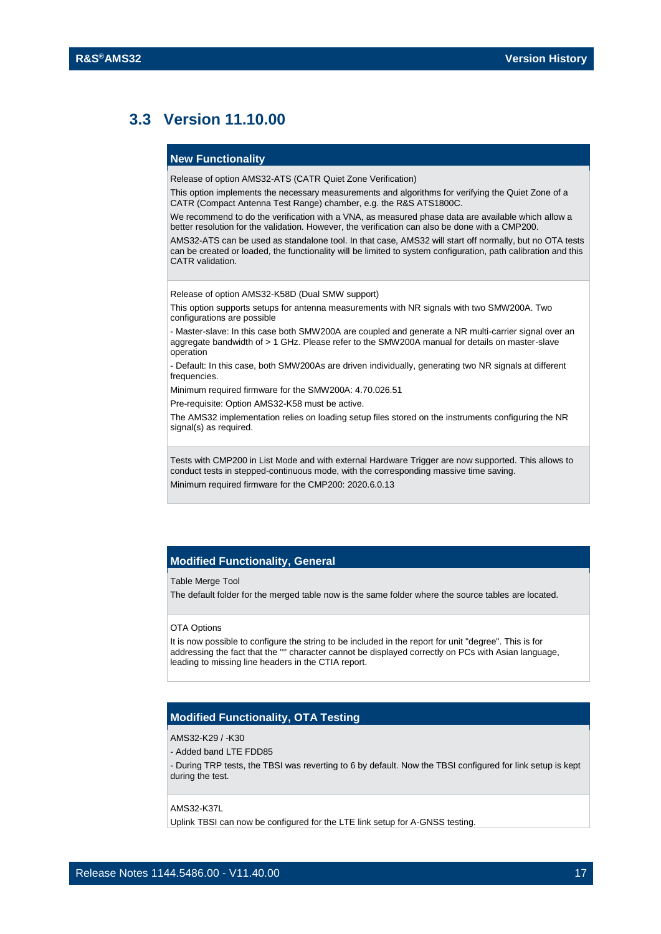## <span id="page-16-0"></span>**3.3 Version 11.10.00**

#### **New Functionality**

Release of option AMS32-ATS (CATR Quiet Zone Verification)

This option implements the necessary measurements and algorithms for verifying the Quiet Zone of a CATR (Compact Antenna Test Range) chamber, e.g. the R&S ATS1800C.

We recommend to do the verification with a VNA, as measured phase data are available which allow a better resolution for the validation. However, the verification can also be done with a CMP200.

AMS32-ATS can be used as standalone tool. In that case, AMS32 will start off normally, but no OTA tests can be created or loaded, the functionality will be limited to system configuration, path calibration and this CATR validation.

Release of option AMS32-K58D (Dual SMW support)

This option supports setups for antenna measurements with NR signals with two SMW200A. Two configurations are possible

- Master-slave: In this case both SMW200A are coupled and generate a NR multi-carrier signal over an aggregate bandwidth of > 1 GHz. Please refer to the SMW200A manual for details on master-slave operation

- Default: In this case, both SMW200As are driven individually, generating two NR signals at different frequencies.

Minimum required firmware for the SMW200A: 4.70.026.51

Pre-requisite: Option AMS32-K58 must be active.

The AMS32 implementation relies on loading setup files stored on the instruments configuring the NR signal(s) as required.

Tests with CMP200 in List Mode and with external Hardware Trigger are now supported. This allows to conduct tests in stepped-continuous mode, with the corresponding massive time saving. Minimum required firmware for the CMP200: 2020.6.0.13

#### **Modified Functionality, General**

#### Table Merge Tool

The default folder for the merged table now is the same folder where the source tables are located.

#### OTA Options

It is now possible to configure the string to be included in the report for unit "degree". This is for addressing the fact that the '°' character cannot be displayed correctly on PCs with Asian language, leading to missing line headers in the CTIA report.

#### **Modified Functionality, OTA Testing**

#### AMS32-K29 / -K30

- Added band LTE FDD85

- During TRP tests, the TBSI was reverting to 6 by default. Now the TBSI configured for link setup is kept during the test.

#### AMS32-K37L

Uplink TBSI can now be configured for the LTE link setup for A-GNSS testing.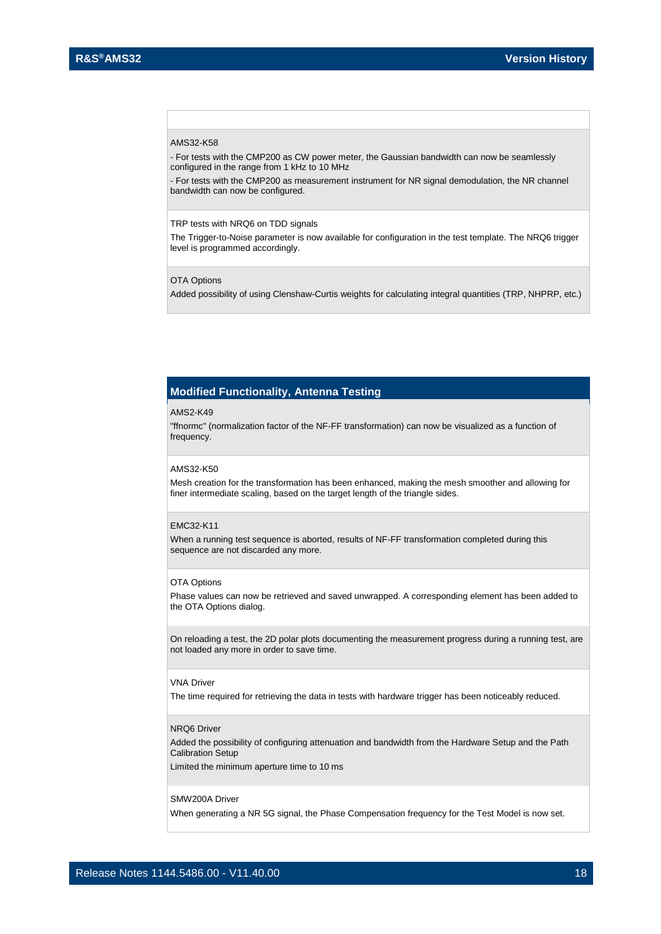#### AMS32-K58

- For tests with the CMP200 as CW power meter, the Gaussian bandwidth can now be seamlessly configured in the range from 1 kHz to 10 MHz

- For tests with the CMP200 as measurement instrument for NR signal demodulation, the NR channel bandwidth can now be configured.

#### TRP tests with NRQ6 on TDD signals

The Trigger-to-Noise parameter is now available for configuration in the test template. The NRQ6 trigger level is programmed accordingly.

#### OTA Options

Added possibility of using Clenshaw-Curtis weights for calculating integral quantities (TRP, NHPRP, etc.)

#### **Modified Functionality, Antenna Testing**

#### AMS2-K49

"ffnormc" (normalization factor of the NF-FF transformation) can now be visualized as a function of frequency.

#### AMS32-K50

Mesh creation for the transformation has been enhanced, making the mesh smoother and allowing for finer intermediate scaling, based on the target length of the triangle sides.

#### EMC32-K11

When a running test sequence is aborted, results of NF-FF transformation completed during this sequence are not discarded any more.

#### OTA Options

Phase values can now be retrieved and saved unwrapped. A corresponding element has been added to the OTA Options dialog.

On reloading a test, the 2D polar plots documenting the measurement progress during a running test, are not loaded any more in order to save time.

#### VNA Driver

The time required for retrieving the data in tests with hardware trigger has been noticeably reduced.

#### NRQ6 Driver

Added the possibility of configuring attenuation and bandwidth from the Hardware Setup and the Path Calibration Setup

Limited the minimum aperture time to 10 ms

#### SMW200A Driver

When generating a NR 5G signal, the Phase Compensation frequency for the Test Model is now set.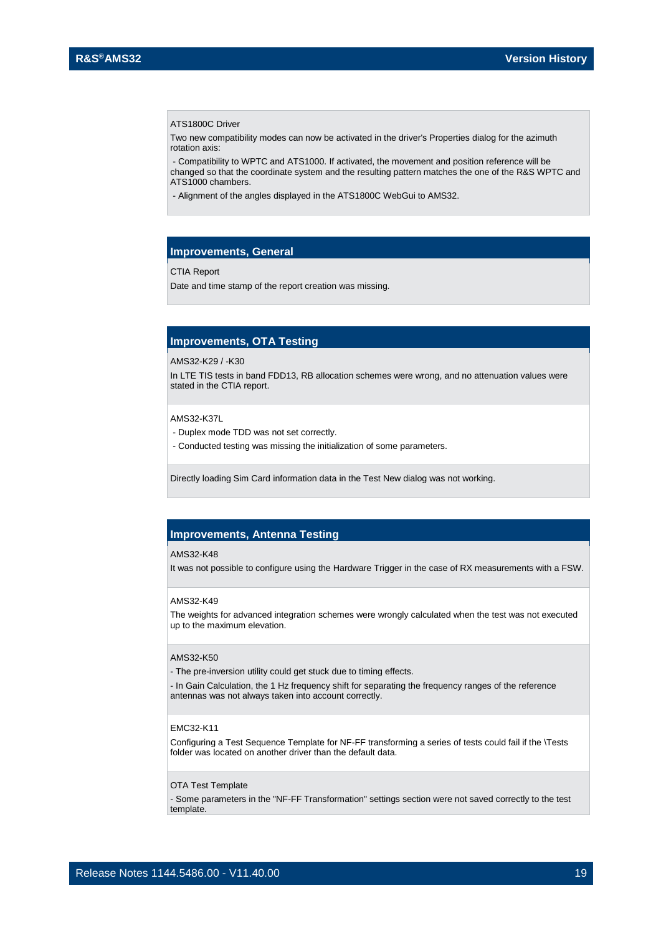#### ATS1800C Driver

Two new compatibility modes can now be activated in the driver's Properties dialog for the azimuth rotation axis:

- Compatibility to WPTC and ATS1000. If activated, the movement and position reference will be changed so that the coordinate system and the resulting pattern matches the one of the R&S WPTC and ATS1000 chambers.

- Alignment of the angles displayed in the ATS1800C WebGui to AMS32.

#### **Improvements, General**

#### CTIA Report

Date and time stamp of the report creation was missing.

#### **Improvements, OTA Testing**

#### AMS32-K29 / -K30

In LTE TIS tests in band FDD13, RB allocation schemes were wrong, and no attenuation values were stated in the CTIA report.

AMS32-K37L

- Duplex mode TDD was not set correctly.
- Conducted testing was missing the initialization of some parameters.

Directly loading Sim Card information data in the Test New dialog was not working.

#### **Improvements, Antenna Testing**

#### AMS32-K48

It was not possible to configure using the Hardware Trigger in the case of RX measurements with a FSW.

#### AMS32-K49

The weights for advanced integration schemes were wrongly calculated when the test was not executed up to the maximum elevation.

#### AMS32-K50

- The pre-inversion utility could get stuck due to timing effects.

- In Gain Calculation, the 1 Hz frequency shift for separating the frequency ranges of the reference antennas was not always taken into account correctly.

#### EMC32-K11

Configuring a Test Sequence Template for NF-FF transforming a series of tests could fail if the \Tests folder was located on another driver than the default data.

#### OTA Test Template

- Some parameters in the "NF-FF Transformation" settings section were not saved correctly to the test template.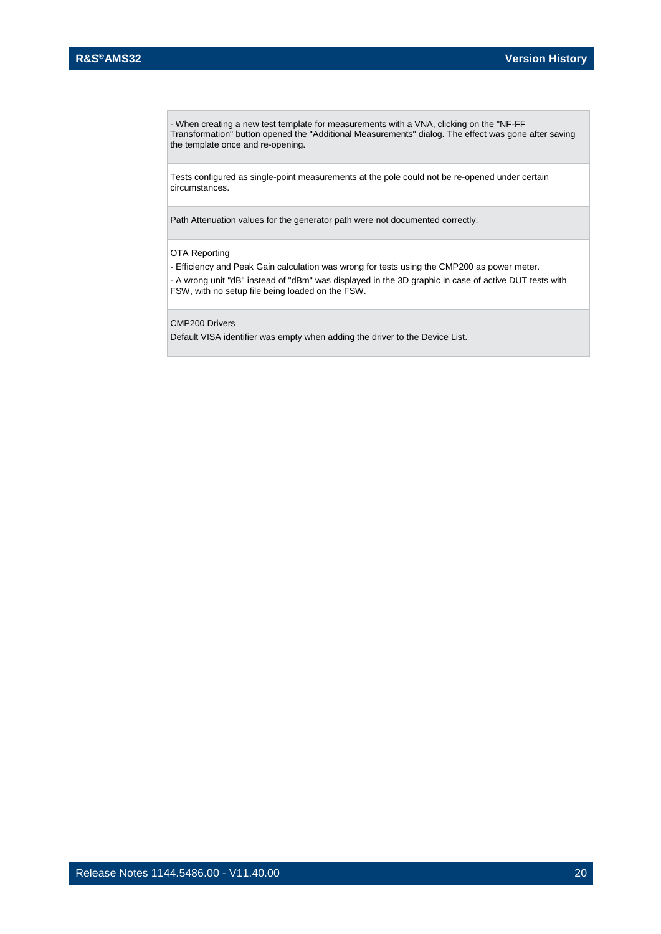- When creating a new test template for measurements with a VNA, clicking on the "NF-FF Transformation" button opened the "Additional Measurements" dialog. The effect was gone after saving the template once and re-opening.

Tests configured as single-point measurements at the pole could not be re-opened under certain circumstances.

Path Attenuation values for the generator path were not documented correctly.

#### OTA Reporting

- Efficiency and Peak Gain calculation was wrong for tests using the CMP200 as power meter. - A wrong unit "dB" instead of "dBm" was displayed in the 3D graphic in case of active DUT tests with FSW, with no setup file being loaded on the FSW.

CMP200 Drivers

Default VISA identifier was empty when adding the driver to the Device List.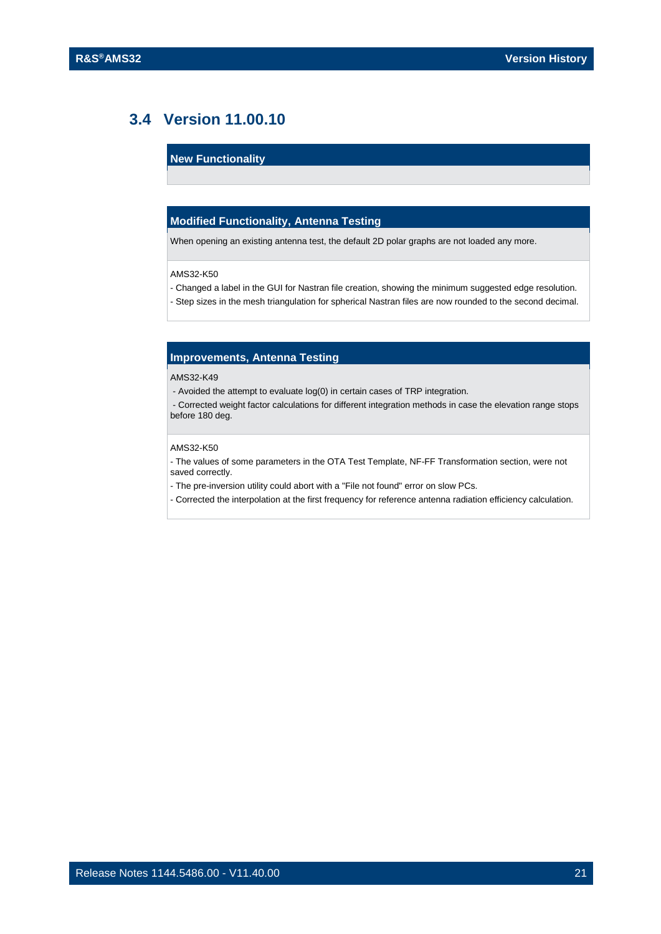## <span id="page-20-0"></span>**3.4 Version 11.00.10**

#### **New Functionality**

#### **Modified Functionality, Antenna Testing**

When opening an existing antenna test, the default 2D polar graphs are not loaded any more.

#### AMS32-K50

- Changed a label in the GUI for Nastran file creation, showing the minimum suggested edge resolution.
- Step sizes in the mesh triangulation for spherical Nastran files are now rounded to the second decimal.

#### **Improvements, Antenna Testing**

#### AMS32-K49

- Avoided the attempt to evaluate log(0) in certain cases of TRP integration.

- Corrected weight factor calculations for different integration methods in case the elevation range stops before 180 deg.

#### AMS32-K50

- The values of some parameters in the OTA Test Template, NF-FF Transformation section, were not saved correctly.

- The pre-inversion utility could abort with a "File not found" error on slow PCs.
- Corrected the interpolation at the first frequency for reference antenna radiation efficiency calculation.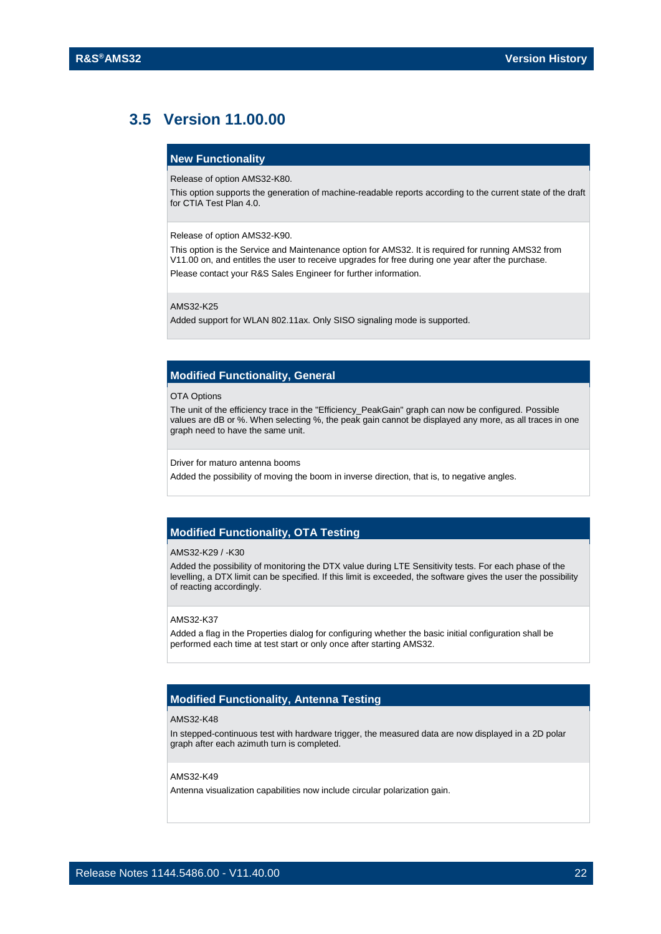## <span id="page-21-0"></span>**3.5 Version 11.00.00**

#### **New Functionality**

Release of option AMS32-K80.

This option supports the generation of machine-readable reports according to the current state of the draft for CTIA Test Plan 4.0.

Release of option AMS32-K90.

This option is the Service and Maintenance option for AMS32. It is required for running AMS32 from V11.00 on, and entitles the user to receive upgrades for free during one year after the purchase. Please contact your R&S Sales Engineer for further information.

AMS32-K25

Added support for WLAN 802.11ax. Only SISO signaling mode is supported.

#### **Modified Functionality, General**

OTA Options

The unit of the efficiency trace in the "Efficiency\_PeakGain" graph can now be configured. Possible values are dB or %. When selecting %, the peak gain cannot be displayed any more, as all traces in one graph need to have the same unit.

Driver for maturo antenna booms

Added the possibility of moving the boom in inverse direction, that is, to negative angles.

#### **Modified Functionality, OTA Testing**

#### AMS32-K29 / -K30

Added the possibility of monitoring the DTX value during LTE Sensitivity tests. For each phase of the levelling, a DTX limit can be specified. If this limit is exceeded, the software gives the user the possibility of reacting accordingly.

#### AMS32-K37

Added a flag in the Properties dialog for configuring whether the basic initial configuration shall be performed each time at test start or only once after starting AMS32.

#### **Modified Functionality, Antenna Testing**

#### AMS32-K48

In stepped-continuous test with hardware trigger, the measured data are now displayed in a 2D polar graph after each azimuth turn is completed.

#### AMS32-K49

Antenna visualization capabilities now include circular polarization gain.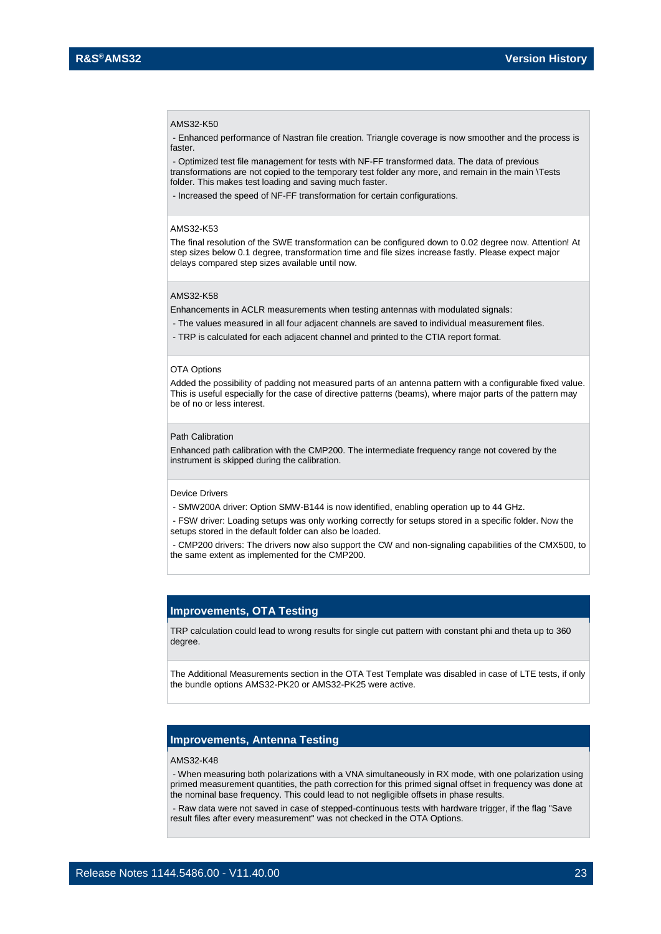#### AMS32-K50

- Enhanced performance of Nastran file creation. Triangle coverage is now smoother and the process is faster

- Optimized test file management for tests with NF-FF transformed data. The data of previous transformations are not copied to the temporary test folder any more, and remain in the main \Tests folder. This makes test loading and saving much faster.

- Increased the speed of NF-FF transformation for certain configurations.

#### AMS32-K53

The final resolution of the SWE transformation can be configured down to 0.02 degree now. Attention! At step sizes below 0.1 degree, transformation time and file sizes increase fastly. Please expect major delays compared step sizes available until now.

#### AMS32-K58

Enhancements in ACLR measurements when testing antennas with modulated signals:

- The values measured in all four adjacent channels are saved to individual measurement files.
- TRP is calculated for each adjacent channel and printed to the CTIA report format.

#### OTA Options

Added the possibility of padding not measured parts of an antenna pattern with a configurable fixed value. This is useful especially for the case of directive patterns (beams), where major parts of the pattern may be of no or less interest.

#### Path Calibration

Enhanced path calibration with the CMP200. The intermediate frequency range not covered by the instrument is skipped during the calibration.

#### Device Drivers

- SMW200A driver: Option SMW-B144 is now identified, enabling operation up to 44 GHz.

- FSW driver: Loading setups was only working correctly for setups stored in a specific folder. Now the setups stored in the default folder can also be loaded.

- CMP200 drivers: The drivers now also support the CW and non-signaling capabilities of the CMX500, to the same extent as implemented for the CMP200.

#### **Improvements, OTA Testing**

TRP calculation could lead to wrong results for single cut pattern with constant phi and theta up to 360 degree.

The Additional Measurements section in the OTA Test Template was disabled in case of LTE tests, if only the bundle options AMS32-PK20 or AMS32-PK25 were active.

#### **Improvements, Antenna Testing**

#### AMS32-K48

- When measuring both polarizations with a VNA simultaneously in RX mode, with one polarization using primed measurement quantities, the path correction for this primed signal offset in frequency was done at the nominal base frequency. This could lead to not negligible offsets in phase results.

- Raw data were not saved in case of stepped-continuous tests with hardware trigger, if the flag "Save result files after every measurement" was not checked in the OTA Options.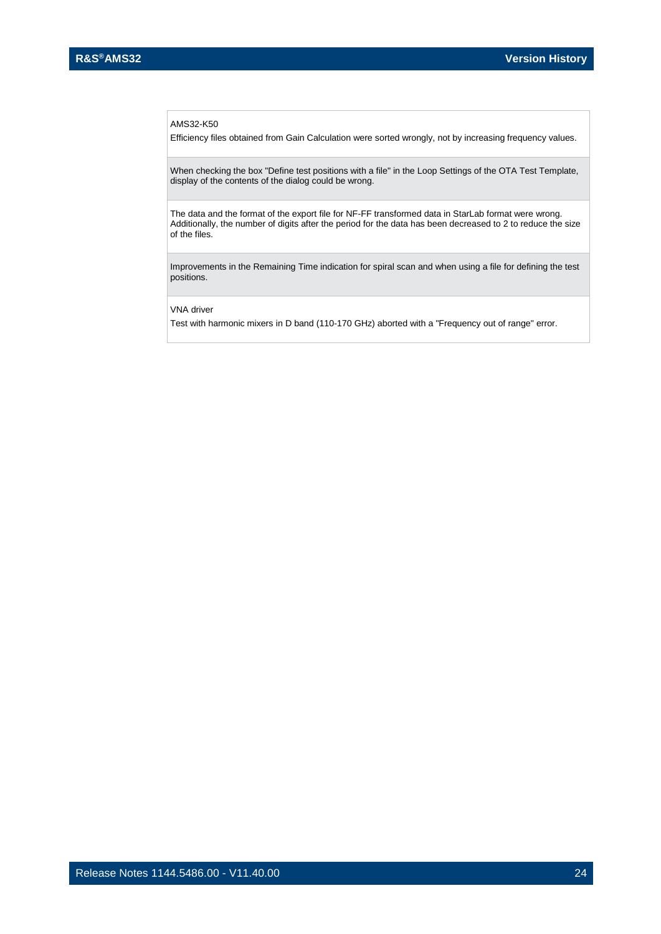#### AMS32-K50

Efficiency files obtained from Gain Calculation were sorted wrongly, not by increasing frequency values.

When checking the box "Define test positions with a file" in the Loop Settings of the OTA Test Template, display of the contents of the dialog could be wrong.

The data and the format of the export file for NF-FF transformed data in StarLab format were wrong. Additionally, the number of digits after the period for the data has been decreased to 2 to reduce the size of the files.

Improvements in the Remaining Time indication for spiral scan and when using a file for defining the test positions.

VNA driver

Test with harmonic mixers in D band (110-170 GHz) aborted with a "Frequency out of range" error.